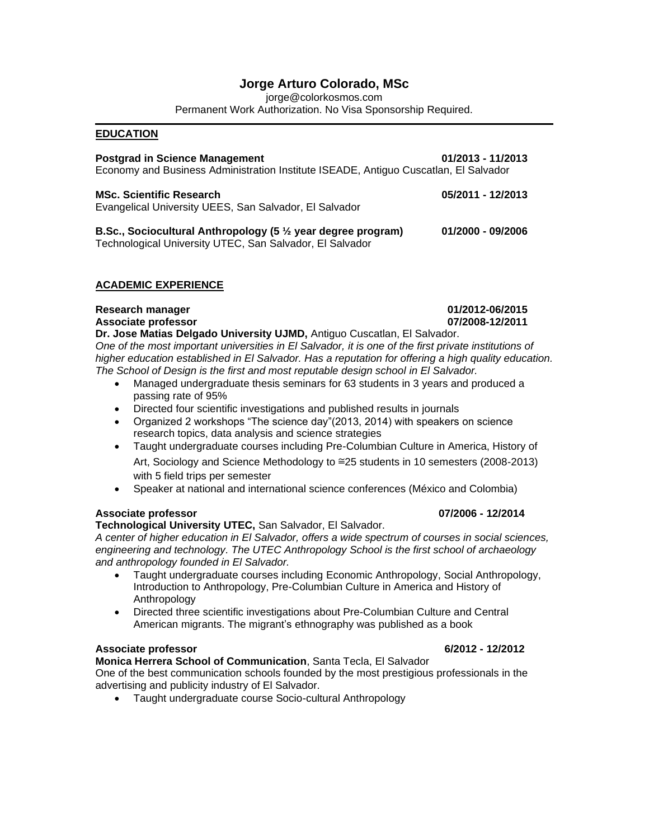# **Jorge Arturo Colorado, MSc**

jorge@colorkosmos.com

Permanent Work Authorization. No Visa Sponsorship Required.

### **EDUCATION**

| <b>Postgrad in Science Management</b><br>Economy and Business Administration Institute ISEADE, Antiguo Cuscatlan, El Salvador       | 01/2013 - 11/2013 |
|-------------------------------------------------------------------------------------------------------------------------------------|-------------------|
| <b>MSc. Scientific Research</b><br>Evangelical University UEES, San Salvador, El Salvador                                           | 05/2011 - 12/2013 |
| B.Sc., Sociocultural Anthropology (5 $\frac{1}{2}$ year degree program)<br>Technological University UTEC, San Salvador, El Salvador | 01/2000 - 09/2006 |

# **ACADEMIC EXPERIENCE**

# **Research manager 01/2012-06/2015**

**Associate professor 07/2008-12/2011 Dr. Jose Matias Delgado University UJMD,** Antiguo Cuscatlan, El Salvador.

*One of the most important universities in El Salvador, it is one of the first private institutions of higher education established in El Salvador. Has a reputation for offering a high quality education. The School of Design is the first and most reputable design school in El Salvador.* 

- Managed undergraduate thesis seminars for 63 students in 3 years and produced a passing rate of 95%
- Directed four scientific investigations and published results in journals
- Organized 2 workshops "The science day"(2013, 2014) with speakers on science research topics, data analysis and science strategies
- Taught undergraduate courses including Pre-Columbian Culture in America, History of Art, Sociology and Science Methodology to ≅25 students in 10 semesters (2008-2013) with 5 field trips per semester
- Speaker at national and international science conferences (México and Colombia)

# **Associate professor 07/2006 - 12/2014**

# **Technological University UTEC,** San Salvador, El Salvador.

*A center of higher education in El Salvador, offers a wide spectrum of courses in social sciences, engineering and technology. The UTEC Anthropology School is the first school of archaeology and anthropology founded in El Salvador.* 

- Taught undergraduate courses including Economic Anthropology, Social Anthropology, Introduction to Anthropology, Pre-Columbian Culture in America and History of Anthropology
- Directed three scientific investigations about Pre-Columbian Culture and Central American migrants. The migrant's ethnography was published as a book

# **Associate professor 6/2012 - 12/2012**

# **Monica Herrera School of Communication**, Santa Tecla, El Salvador

One of the best communication schools founded by the most prestigious professionals in the advertising and publicity industry of El Salvador.

• Taught undergraduate course Socio-cultural Anthropology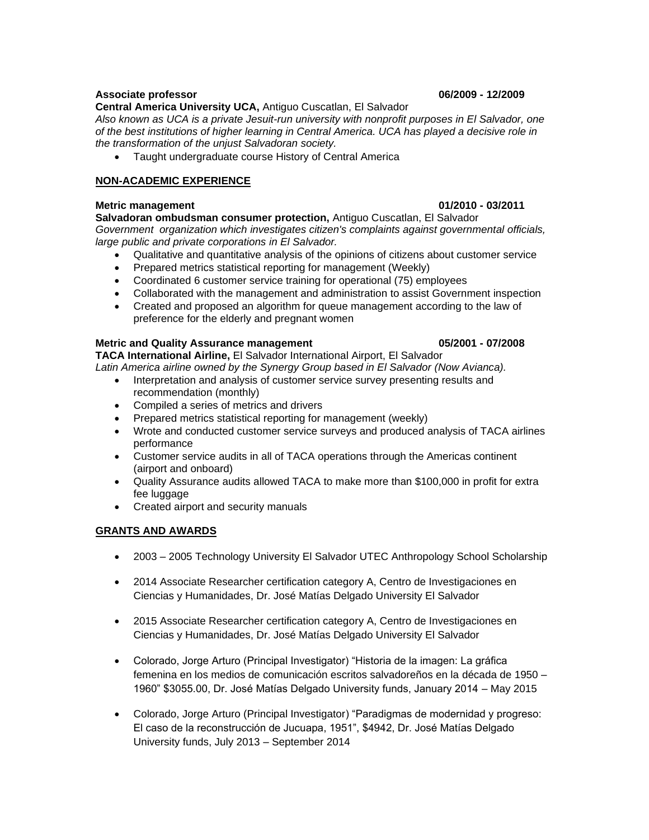### **Associate professor 06/2009 - 12/2009**

### **Central America University UCA,** Antiguo Cuscatlan, El Salvador

*Also known as UCA is a private Jesuit-run university with nonprofit purposes in El Salvador, one of the best institutions of higher learning in Central America. UCA has played a decisive role in the transformation of the unjust Salvadoran society.*

• Taught undergraduate course History of Central America

# **NON-ACADEMIC EXPERIENCE**

### **Metric management 01/2010 - 03/2011**

**Salvadoran ombudsman consumer protection,** Antiguo Cuscatlan, El Salvador *Government organization which investigates citizen's complaints against governmental officials, large public and private corporations in El Salvador.*

- Qualitative and quantitative analysis of the opinions of citizens about customer service
- Prepared metrics statistical reporting for management (Weekly)
- Coordinated 6 customer service training for operational (75) employees
- Collaborated with the management and administration to assist Government inspection
- Created and proposed an algorithm for queue management according to the law of preference for the elderly and pregnant women

### **Metric and Quality Assurance management 05/2001 - 07/2008**

**TACA International Airline,** El Salvador International Airport, El Salvador *Latin America airline owned by the Synergy Group based in El Salvador (Now Avianca).* 

- Interpretation and analysis of customer service survey presenting results and recommendation (monthly)
- Compiled a series of metrics and drivers
- Prepared metrics statistical reporting for management (weekly)
- Wrote and conducted customer service surveys and produced analysis of TACA airlines performance
- Customer service audits in all of TACA operations through the Americas continent (airport and onboard)
- Quality Assurance audits allowed TACA to make more than \$100,000 in profit for extra fee luggage
- Created airport and security manuals

# **GRANTS AND AWARDS**

- 2003 2005 Technology University El Salvador UTEC Anthropology School Scholarship
- 2014 Associate Researcher certification category A, Centro de Investigaciones en Ciencias y Humanidades, Dr. José Matías Delgado University El Salvador
- 2015 Associate Researcher certification category A, Centro de Investigaciones en Ciencias y Humanidades, Dr. José Matías Delgado University El Salvador
- Colorado, Jorge Arturo (Principal Investigator) "Historia de la imagen: La gráfica femenina en los medios de comunicación escritos salvadoreños en la década de 1950 – 1960" \$3055.00, Dr. José Matías Delgado University funds, January 2014 – May 2015
- Colorado, Jorge Arturo (Principal Investigator) "Paradigmas de modernidad y progreso: El caso de la reconstrucción de Jucuapa, 1951", \$4942, Dr. José Matías Delgado University funds, July 2013 – September 2014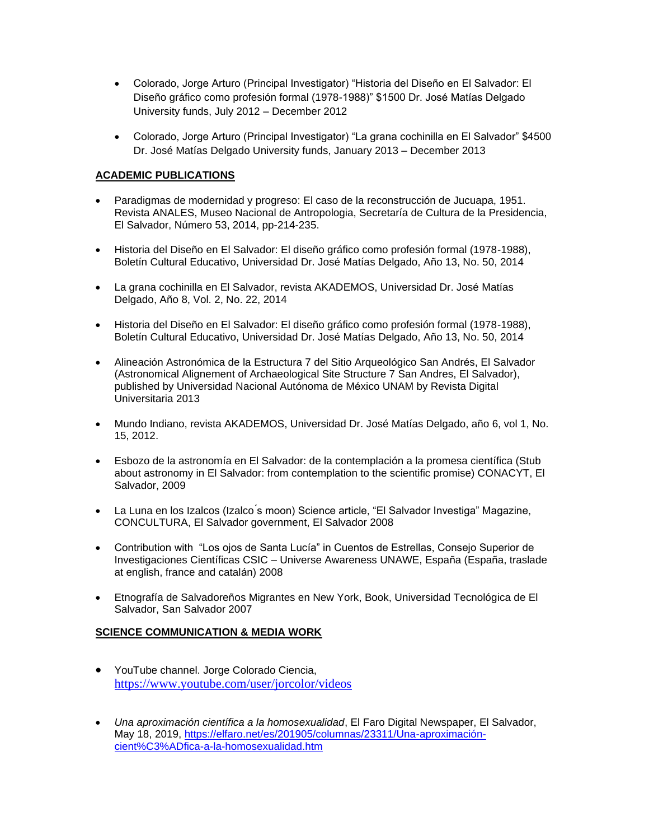- Colorado, Jorge Arturo (Principal Investigator) "Historia del Diseño en El Salvador: El Diseño gráfico como profesión formal (1978-1988)" \$1500 Dr. José Matías Delgado University funds, July 2012 – December 2012
- Colorado, Jorge Arturo (Principal Investigator) "La grana cochinilla en El Salvador" \$4500 Dr. José Matías Delgado University funds, January 2013 – December 2013

# **ACADEMIC PUBLICATIONS**

- Paradigmas de modernidad y progreso: El caso de la reconstrucción de Jucuapa, 1951. Revista ANALES, Museo Nacional de Antropologia, Secretaría de Cultura de la Presidencia, El Salvador, Número 53, 2014, pp-214-235.
- Historia del Diseño en El Salvador: El diseño gráfico como profesión formal (1978-1988), Boletín Cultural Educativo, Universidad Dr. José Matías Delgado, Año 13, No. 50, 2014
- La grana cochinilla en El Salvador, revista AKADEMOS, Universidad Dr. José Matías Delgado, Año 8, Vol. 2, No. 22, 2014
- Historia del Diseño en El Salvador: El diseño gráfico como profesión formal (1978-1988), Boletín Cultural Educativo, Universidad Dr. José Matías Delgado, Año 13, No. 50, 2014
- Alineación Astronómica de la Estructura 7 del Sitio Arqueológico San Andrés, El Salvador (Astronomical Alignement of Archaeological Site Structure 7 San Andres, El Salvador), published by Universidad Nacional Autónoma de México UNAM by Revista Digital Universitaria 2013
- Mundo Indiano, revista AKADEMOS, Universidad Dr. José Matías Delgado, año 6, vol 1, No. 15, 2012.
- Esbozo de la astronomía en El Salvador: de la contemplación a la promesa científica (Stub about astronomy in El Salvador: from contemplation to the scientific promise) CONACYT, El Salvador, 2009
- La Luna en los Izalcos (Izalco ́s moon) Science article, "El Salvador Investiga" Magazine, CONCULTURA, El Salvador government, El Salvador 2008
- Contribution with "Los ojos de Santa Lucía" in Cuentos de Estrellas, Consejo Superior de Investigaciones Científicas CSIC – Universe Awareness UNAWE, España (España, traslade at english, france and catalán) 2008
- Etnografía de Salvadoreños Migrantes en New York, Book, Universidad Tecnológica de El Salvador, San Salvador 2007

# **SCIENCE COMMUNICATION & MEDIA WORK**

- YouTube channel. Jorge Colorado Ciencia, [https://www.youtube.com/user/jorcolor/videos](about:blank)
- *Una aproximación científica a la homosexualidad*, El Faro Digital Newspaper, El Salvador, May 18, 2019, [https://elfaro.net/es/201905/columnas/23311/Una-aproximación](about:blank)[cient%C3%ADfica-a-la-homosexualidad.htm](about:blank)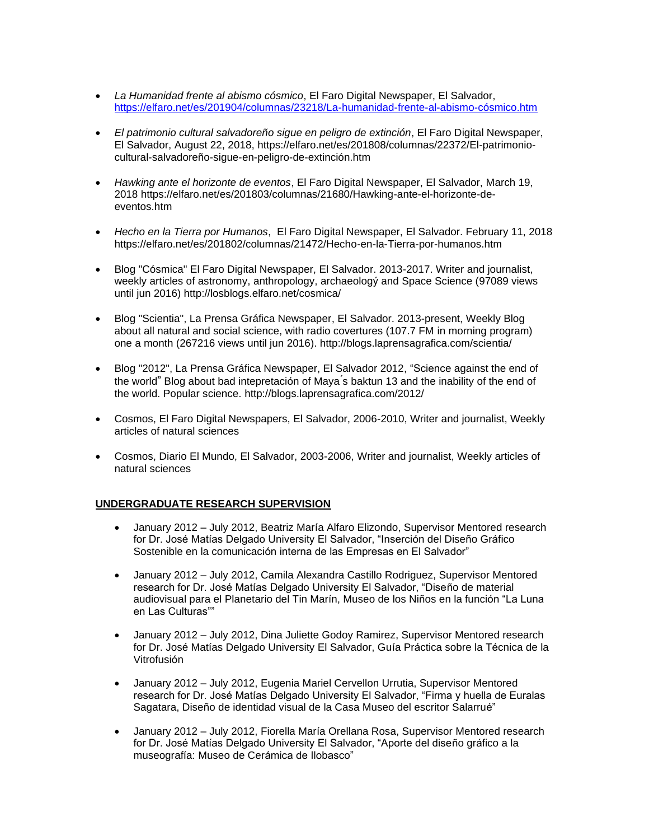- *La Humanidad frente al abismo cósmico*, El Faro Digital Newspaper, El Salvador, [https://elfaro.net/es/201904/columnas/23218/La-humanidad-frente-al-abismo-cósmico.htm](about:blank)
- *El patrimonio cultural salvadoreño sigue en peligro de extinción*, El Faro Digital Newspaper, El Salvador, August 22, 2018, https://elfaro.net/es/201808/columnas/22372/El-patrimoniocultural-salvadoreño-sigue-en-peligro-de-extinción.htm
- *Hawking ante el horizonte de eventos*, El Faro Digital Newspaper, El Salvador, March 19, 2018 https://elfaro.net/es/201803/columnas/21680/Hawking-ante-el-horizonte-deeventos.htm
- *Hecho en la Tierra por Humanos*, El Faro Digital Newspaper, El Salvador. February 11, 2018 https://elfaro.net/es/201802/columnas/21472/Hecho-en-la-Tierra-por-humanos.htm
- Blog "Cósmica" El Faro Digital Newspaper, El Salvador. 2013-2017. Writer and journalist, weekly articles of astronomy, anthropology, archaeologý and Space Science (97089 views until jun 2016) http://losblogs.elfaro.net/cosmica/
- Blog "Scientia", La Prensa Gráfica Newspaper, El Salvador. 2013-present, Weekly Blog about all natural and social science, with radio covertures (107.7 FM in morning program) one a month (267216 views until jun 2016). http://blogs.laprensagrafica.com/scientia/
- Blog "2012", La Prensa Gráfica Newspaper, El Salvador 2012, "Science against the end of the world" Blog about bad intepretación of Maya ́s baktun 13 and the inability of the end of the world. Popular science. http://blogs.laprensagrafica.com/2012/
- Cosmos, El Faro Digital Newspapers, El Salvador, 2006-2010, Writer and journalist, Weekly articles of natural sciences
- Cosmos, Diario El Mundo, El Salvador, 2003-2006, Writer and journalist, Weekly articles of natural sciences

### **UNDERGRADUATE RESEARCH SUPERVISION**

- January 2012 July 2012, Beatriz María Alfaro Elizondo, Supervisor Mentored research for Dr. José Matías Delgado University El Salvador, "Inserción del Diseño Gráfico Sostenible en la comunicación interna de las Empresas en El Salvador"
- January 2012 July 2012, Camila Alexandra Castillo Rodriguez, Supervisor Mentored research for Dr. José Matías Delgado University El Salvador, "Diseño de material audiovisual para el Planetario del Tin Marín, Museo de los Niños en la función "La Luna en Las Culturas""
- January 2012 July 2012, Dina Juliette Godoy Ramirez, Supervisor Mentored research for Dr. José Matías Delgado University El Salvador, Guía Práctica sobre la Técnica de la Vitrofusión
- January 2012 July 2012, Eugenia Mariel Cervellon Urrutia, Supervisor Mentored research for Dr. José Matías Delgado University El Salvador, "Firma y huella de Euralas Sagatara, Diseño de identidad visual de la Casa Museo del escritor Salarrué"
- January 2012 July 2012, Fiorella María Orellana Rosa, Supervisor Mentored research for Dr. José Matías Delgado University El Salvador, "Aporte del diseño gráfico a la museografía: Museo de Cerámica de Ilobasco"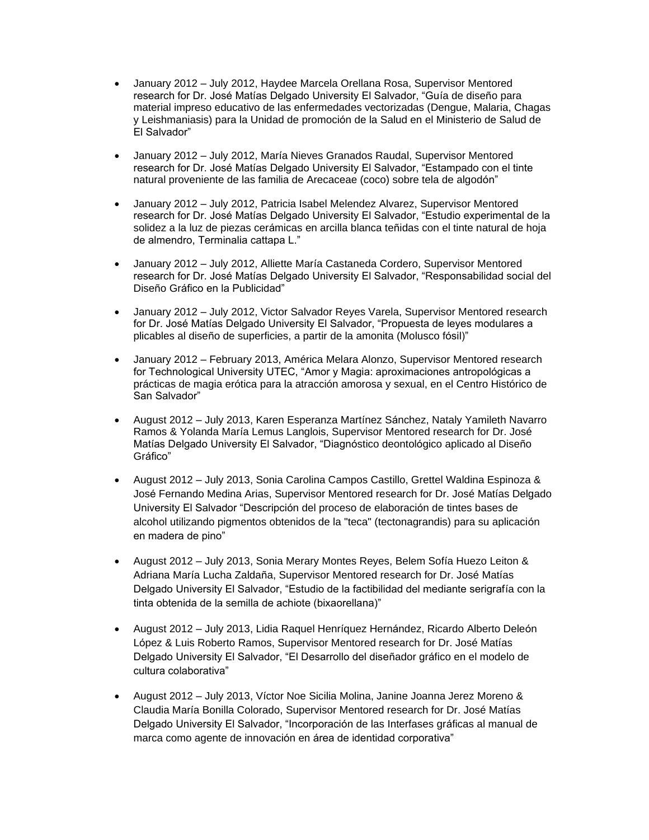- January 2012 July 2012, Haydee Marcela Orellana Rosa, Supervisor Mentored research for Dr. José Matías Delgado University El Salvador, "Guía de diseño para material impreso educativo de las enfermedades vectorizadas (Dengue, Malaria, Chagas y Leishmaniasis) para la Unidad de promoción de la Salud en el Ministerio de Salud de El Salvador"
- January 2012 July 2012, María Nieves Granados Raudal, Supervisor Mentored research for Dr. José Matías Delgado University El Salvador, "Estampado con el tinte natural proveniente de las familia de Arecaceae (coco) sobre tela de algodón"
- January 2012 July 2012, Patricia Isabel Melendez Alvarez, Supervisor Mentored research for Dr. José Matías Delgado University El Salvador, "Estudio experimental de la solidez a la luz de piezas cerámicas en arcilla blanca teñidas con el tinte natural de hoja de almendro, Terminalia cattapa L."
- January 2012 July 2012, Alliette María Castaneda Cordero, Supervisor Mentored research for Dr. José Matías Delgado University El Salvador, "Responsabilidad social del Diseño Gráfico en la Publicidad"
- January 2012 July 2012, Victor Salvador Reyes Varela, Supervisor Mentored research for Dr. José Matías Delgado University El Salvador, "Propuesta de leyes modulares a plicables al diseño de superficies, a partir de la amonita (Molusco fósil)"
- January 2012 February 2013, América Melara Alonzo, Supervisor Mentored research for Technological University UTEC, "Amor y Magia: aproximaciones antropológicas a prácticas de magia erótica para la atracción amorosa y sexual, en el Centro Histórico de San Salvador"
- August 2012 July 2013, Karen Esperanza Martínez Sánchez, Nataly Yamileth Navarro Ramos & Yolanda María Lemus Langlois, Supervisor Mentored research for Dr. José Matías Delgado University El Salvador, "Diagnóstico deontológico aplicado al Diseño Gráfico"
- August 2012 July 2013, Sonia Carolina Campos Castillo, Grettel Waldina Espinoza & José Fernando Medina Arias, Supervisor Mentored research for Dr. José Matías Delgado University El Salvador "Descripción del proceso de elaboración de tintes bases de alcohol utilizando pigmentos obtenidos de la "teca" (tectonagrandis) para su aplicación en madera de pino"
- August 2012 July 2013, Sonia Merary Montes Reyes, Belem Sofía Huezo Leiton & Adriana María Lucha Zaldaña, Supervisor Mentored research for Dr. José Matías Delgado University El Salvador, "Estudio de la factibilidad del mediante serigrafía con la tinta obtenida de la semilla de achiote (bixaorellana)"
- August 2012 July 2013, Lidia Raquel Henríquez Hernández, Ricardo Alberto Deleón López & Luis Roberto Ramos, Supervisor Mentored research for Dr. José Matías Delgado University El Salvador, "El Desarrollo del diseñador gráfico en el modelo de cultura colaborativa"
- August 2012 July 2013, Víctor Noe Sicilia Molina, Janine Joanna Jerez Moreno & Claudia María Bonilla Colorado, Supervisor Mentored research for Dr. José Matías Delgado University El Salvador, "Incorporación de las Interfases gráficas al manual de marca como agente de innovación en área de identidad corporativa"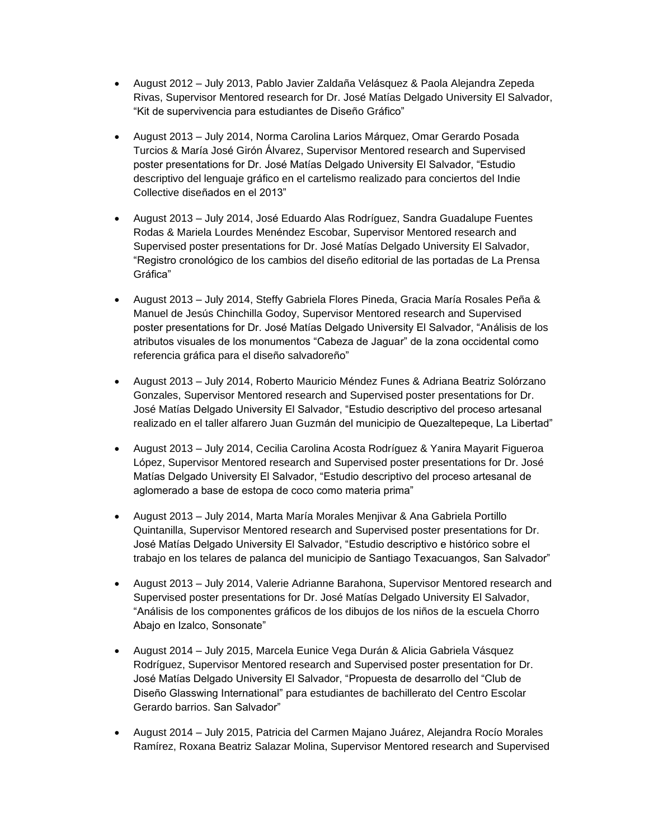- August 2012 July 2013, Pablo Javier Zaldaña Velásquez & Paola Alejandra Zepeda Rivas, Supervisor Mentored research for Dr. José Matías Delgado University El Salvador, "Kit de supervivencia para estudiantes de Diseño Gráfico"
- August 2013 July 2014, Norma Carolina Larios Márquez, Omar Gerardo Posada Turcios & María José Girón Álvarez, Supervisor Mentored research and Supervised poster presentations for Dr. José Matías Delgado University El Salvador, "Estudio descriptivo del lenguaje gráfico en el cartelismo realizado para conciertos del Indie Collective diseñados en el 2013"
- August 2013 July 2014, José Eduardo Alas Rodríguez, Sandra Guadalupe Fuentes Rodas & Mariela Lourdes Menéndez Escobar, Supervisor Mentored research and Supervised poster presentations for Dr. José Matías Delgado University El Salvador, "Registro cronológico de los cambios del diseño editorial de las portadas de La Prensa Gráfica"
- August 2013 July 2014, Steffy Gabriela Flores Pineda, Gracia María Rosales Peña & Manuel de Jesús Chinchilla Godoy, Supervisor Mentored research and Supervised poster presentations for Dr. José Matías Delgado University El Salvador, "Análisis de los atributos visuales de los monumentos "Cabeza de Jaguar" de la zona occidental como referencia gráfica para el diseño salvadoreño"
- August 2013 July 2014, Roberto Mauricio Méndez Funes & Adriana Beatriz Solórzano Gonzales, Supervisor Mentored research and Supervised poster presentations for Dr. José Matías Delgado University El Salvador, "Estudio descriptivo del proceso artesanal realizado en el taller alfarero Juan Guzmán del municipio de Quezaltepeque, La Libertad"
- August 2013 July 2014, Cecilia Carolina Acosta Rodríguez & Yanira Mayarit Figueroa López, Supervisor Mentored research and Supervised poster presentations for Dr. José Matías Delgado University El Salvador, "Estudio descriptivo del proceso artesanal de aglomerado a base de estopa de coco como materia prima"
- August 2013 July 2014, Marta María Morales Menjivar & Ana Gabriela Portillo Quintanilla, Supervisor Mentored research and Supervised poster presentations for Dr. José Matías Delgado University El Salvador, "Estudio descriptivo e histórico sobre el trabajo en los telares de palanca del municipio de Santiago Texacuangos, San Salvador"
- August 2013 July 2014, Valerie Adrianne Barahona, Supervisor Mentored research and Supervised poster presentations for Dr. José Matías Delgado University El Salvador, "Análisis de los componentes gráficos de los dibujos de los niños de la escuela Chorro Abajo en Izalco, Sonsonate"
- August 2014 July 2015, Marcela Eunice Vega Durán & Alicia Gabriela Vásquez Rodríguez, Supervisor Mentored research and Supervised poster presentation for Dr. José Matías Delgado University El Salvador, "Propuesta de desarrollo del "Club de Diseño Glasswing International" para estudiantes de bachillerato del Centro Escolar Gerardo barrios. San Salvador"
- August 2014 July 2015, Patricia del Carmen Majano Juárez, Alejandra Rocío Morales Ramírez, Roxana Beatriz Salazar Molina, Supervisor Mentored research and Supervised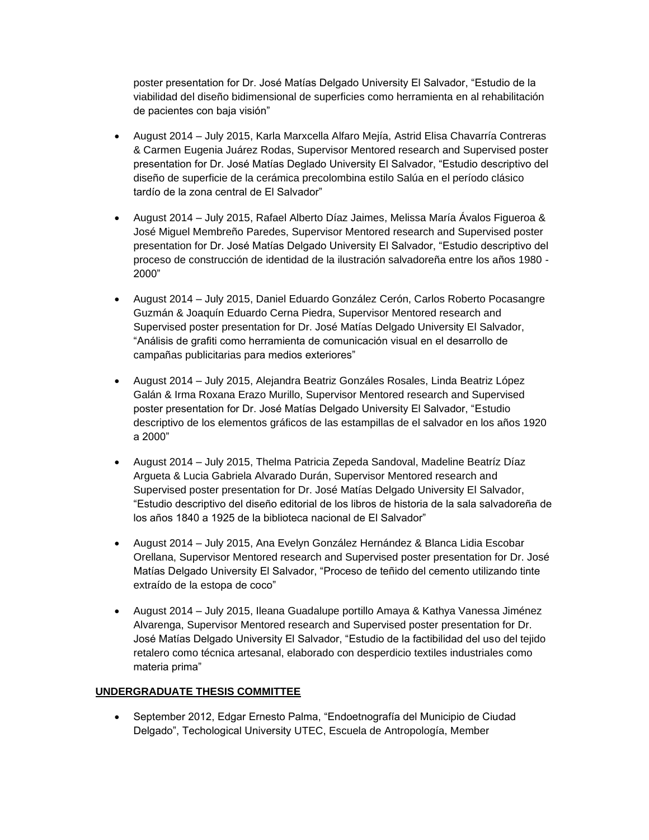poster presentation for Dr. José Matías Delgado University El Salvador, "Estudio de la viabilidad del diseño bidimensional de superficies como herramienta en al rehabilitación de pacientes con baja visión"

- August 2014 July 2015, Karla Marxcella Alfaro Mejía, Astrid Elisa Chavarría Contreras & Carmen Eugenia Juárez Rodas, Supervisor Mentored research and Supervised poster presentation for Dr. José Matías Deglado University El Salvador, "Estudio descriptivo del diseño de superficie de la cerámica precolombina estilo Salúa en el período clásico tardío de la zona central de El Salvador"
- August 2014 July 2015, Rafael Alberto Díaz Jaimes, Melissa María Ávalos Figueroa & José Miguel Membreño Paredes, Supervisor Mentored research and Supervised poster presentation for Dr. José Matías Delgado University El Salvador, "Estudio descriptivo del proceso de construcción de identidad de la ilustración salvadoreña entre los años 1980 - 2000"
- August 2014 July 2015, Daniel Eduardo González Cerón, Carlos Roberto Pocasangre Guzmán & Joaquín Eduardo Cerna Piedra, Supervisor Mentored research and Supervised poster presentation for Dr. José Matías Delgado University El Salvador, "Análisis de grafiti como herramienta de comunicación visual en el desarrollo de campañas publicitarias para medios exteriores"
- August 2014 July 2015, Alejandra Beatriz Gonzáles Rosales, Linda Beatriz López Galán & Irma Roxana Erazo Murillo, Supervisor Mentored research and Supervised poster presentation for Dr. José Matías Delgado University El Salvador, "Estudio descriptivo de los elementos gráficos de las estampillas de el salvador en los años 1920 a 2000"
- August 2014 July 2015, Thelma Patricia Zepeda Sandoval, Madeline Beatríz Díaz Argueta & Lucia Gabriela Alvarado Durán, Supervisor Mentored research and Supervised poster presentation for Dr. José Matías Delgado University El Salvador, "Estudio descriptivo del diseño editorial de los libros de historia de la sala salvadoreña de los años 1840 a 1925 de la biblioteca nacional de El Salvador"
- August 2014 July 2015, Ana Evelyn González Hernández & Blanca Lidia Escobar Orellana, Supervisor Mentored research and Supervised poster presentation for Dr. José Matías Delgado University El Salvador, "Proceso de teñido del cemento utilizando tinte extraído de la estopa de coco"
- August 2014 July 2015, Ileana Guadalupe portillo Amaya & Kathya Vanessa Jiménez Alvarenga, Supervisor Mentored research and Supervised poster presentation for Dr. José Matías Delgado University El Salvador, "Estudio de la factibilidad del uso del tejido retalero como técnica artesanal, elaborado con desperdicio textiles industriales como materia prima"

# **UNDERGRADUATE THESIS COMMITTEE**

• September 2012, Edgar Ernesto Palma, "Endoetnografía del Municipio de Ciudad Delgado", Techological University UTEC, Escuela de Antropología, Member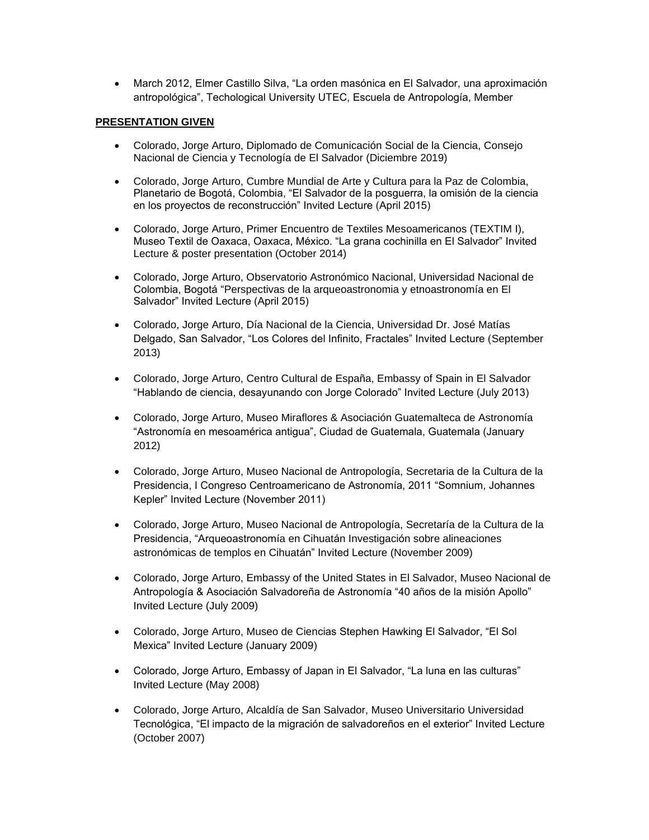• March 2012, Elmer Castillo Silva, "La orden masónica en El Salvador, una aproximación antropológica", Techological University UTEC, Escuela de Antropología, Member

# **PRESENTATION GIVEN**

- Colorado, Jorge Arturo, Diplomado de Comunicación Social de la Ciencia, Consejo Nacional de Ciencia y Tecnología de El Salvador (Diciembre 2019)
- Colorado, Jorge Arturo, Cumbre Mundial de Arte y Cultura para la Paz de Colombia, Planetario de Bogotá, Colombia, "El Salvador de la posguerra, la omisión de la ciencia en los proyectos de reconstrucción" Invited Lecture (April 2015)
- Colorado, Jorge Arturo, Primer Encuentro de Textiles Mesoamericanos (TEXTIM I), Museo Textil de Oaxaca, Oaxaca, México. "La grana cochinilla en El Salvador" Invited Lecture & poster presentation (October 2014)
- Colorado, Jorge Arturo, Observatorio Astronómico Nacional, Universidad Nacional de Colombia, Bogotá "Perspectivas de la arqueoastronomia y etnoastronomía en El Salvador" Invited Lecture (April 2015)
- Colorado, Jorge Arturo, Día Nacional de la Ciencia, Universidad Dr. José Matías Delgado, San Salvador, "Los Colores del Infinito, Fractales" Invited Lecture (September 2013)
- Colorado, Jorge Arturo, Centro Cultural de España, Embassy of Spain in El Salvador "Hablando de ciencia, desayunando con Jorge Colorado" Invited Lecture (July 2013)
- Colorado, Jorge Arturo, Museo Miraflores & Asociación Guatemalteca de Astronomía "Astronomía en mesoamérica antigua", Ciudad de Guatemala, Guatemala (January 2012)
- Colorado, Jorge Arturo, Museo Nacional de Antropología, Secretaria de la Cultura de la Presidencia, I Congreso Centroamericano de Astronomía, 2011 "Somnium, Johannes Kepler" Invited Lecture (November 2011)
- Colorado, Jorge Arturo, Museo Nacional de Antropología, Secretaría de la Cultura de la Presidencia, "Arqueoastronomía en Cihuatán Investigación sobre alineaciones astronómicas de templos en Cihuatán" Invited Lecture (November 2009)
- Colorado, Jorge Arturo, Embassy of the United States in El Salvador, Museo Nacional de Antropología & Asociación Salvadoreña de Astronomía "40 años de la misión Apollo" Invited Lecture (July 2009)
- Colorado, Jorge Arturo, Museo de Ciencias Stephen Hawking El Salvador, "El Sol Mexica" Invited Lecture (January 2009)
- Colorado, Jorge Arturo, Embassy of Japan in El Salvador, "La luna en las culturas" Invited Lecture (May 2008)
- Colorado, Jorge Arturo, Alcaldía de San Salvador, Museo Universitario Universidad Tecnológica, "El impacto de la migración de salvadoreños en el exterior" Invited Lecture (October 2007)